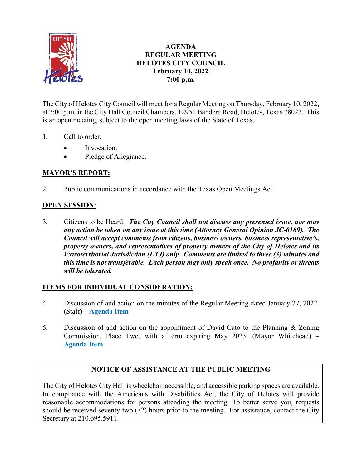

## **AGENDA REGULAR MEETING HELOTES CITY COUNCIL February 10, 2022 7:00 p.m.**

The City of Helotes City Council will meet for a Regular Meeting on Thursday, February 10, 2022, at 7:00 p.m. in the City Hall Council Chambers, 12951 Bandera Road, Helotes, Texas 78023. This is an open meeting, subject to the open meeting laws of the State of Texas.

- 1. Call to order.
	- Invocation.
	- Pledge of Allegiance.

# **MAYOR'S REPORT:**

2. Public communications in accordance with the Texas Open Meetings Act.

## **OPEN SESSION:**

3. Citizens to be Heard. *The City Council shall not discuss any presented issue, nor may any action be taken on any issue at this time (Attorney General Opinion JC-0169). The Council will accept comments from citizens, business owners, business representative's, property owners, and representatives of property owners of the City of Helotes and its Extraterritorial Jurisdiction (ETJ) only. Comments are limited to three (3) minutes and this time is not transferable. Each person may only speak once. No profanity or threats will be tolerated.*

### **ITEMS FOR INDIVIDUAL CONSIDERATION:**

- 4. Discussion of and action on the minutes of the Regular Meeting dated January 27, 2022. (Staff) – **[Agenda Item](https://helotes-tx.gov/wp-content/uploads/2022/02/4-Minutes.pdf)**
- 5. Discussion of and action on the appointment of David Cato to the Planning & Zoning Commission, Place Two, with a term expiring May 2023. (Mayor Whitehead) – **[Agenda Item](https://helotes-tx.gov/wp-content/uploads/2022/02/5-PZ-David-Cato.pdf)**

# **NOTICE OF ASSISTANCE AT THE PUBLIC MEETING**

The City of Helotes City Hall is wheelchair accessible, and accessible parking spaces are available. In compliance with the Americans with Disabilities Act, the City of Helotes will provide reasonable accommodations for persons attending the meeting. To better serve you, requests should be received seventy-two (72) hours prior to the meeting. For assistance, contact the City Secretary at 210.695.5911.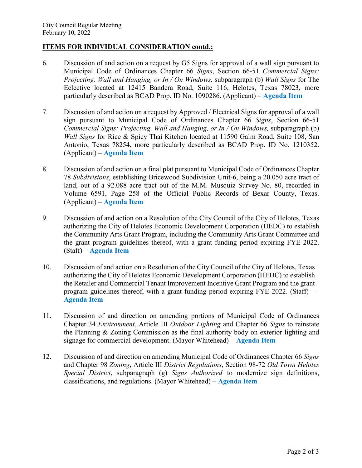#### **ITEMS FOR INDIVIDUAL CONSIDERATION contd.:**

- 6. Discussion of and action on a request by G5 Signs for approval of a wall sign pursuant to Municipal Code of Ordinances Chapter 66 *Signs*, Section 66-51 *Commercial Signs: Projecting, Wall and Hanging, or In / On Windows,* subparagraph (b) *Wall Signs* for The Eclective located at 12415 Bandera Road, Suite 116, Helotes, Texas 78023, more particularly described as BCAD Prop. ID No. 1090286. (Applicant) – **[Agenda Item](https://helotes-tx.gov/wp-content/uploads/2022/02/6-The-Eclective.pdf)**
- 7. Discussion of and action on a request by Approved / Electrical Signs for approval of a wall sign pursuant to Municipal Code of Ordinances Chapter 66 *Signs*, Section 66-51 *Commercial Signs: Projecting, Wall and Hanging, or In / On Windows, subparagraph (b) Wall Signs* for Rice & Spicy Thai Kitchen located at 11590 Galm Road, Suite 108, San Antonio, Texas 78254, more particularly described as BCAD Prop. ID No. 1210352. (Applicant) – **[Agenda Item](https://helotes-tx.gov/wp-content/uploads/2022/02/7-Rice-Spicy-Thai-Kitchen.pdf)**
- 8. Discussion of and action on a final plat pursuant to Municipal Code of Ordinances Chapter 78 *Subdivisions*, establishing Bricewood Subdivision Unit-6, being a 20.050 acre tract of land, out of a 92.088 acre tract out of the M.M. Musquiz Survey No. 80, recorded in Volume 6591, Page 258 of the Official Public Records of Bexar County, Texas. (Applicant) – **[Agenda Item](https://helotes-tx.gov/wp-content/uploads/2022/02/8-Bricewood-Unit-6.pdf)**
- 9. Discussion of and action on a Resolution of the City Council of the City of Helotes, Texas authorizing the City of Helotes Economic Development Corporation (HEDC) to establish the Community Arts Grant Program, including the Community Arts Grant Committee and the grant program guidelines thereof, with a grant funding period expiring FYE 2022. (Staff) – **[Agenda Item](https://helotes-tx.gov/wp-content/uploads/2022/02/9-EDC-Arts-Grant.pdf)**
- 10. Discussion of and action on a Resolution of the City Council of the City of Helotes, Texas authorizing the City of Helotes Economic Development Corporation (HEDC) to establish the Retailer and Commercial Tenant Improvement Incentive Grant Program and the grant program guidelines thereof, with a grant funding period expiring FYE 2022. (Staff) – **[Agenda Item](https://helotes-tx.gov/wp-content/uploads/2022/02/10-EDC-Tenant-Grant.pdf)**
- 11. Discussion of and direction on amending portions of Municipal Code of Ordinances Chapter 34 *Environment*, Article III *Outdoor Lighting* and Chapter 66 *Signs* to reinstate the Planning & Zoning Commission as the final authority body on exterior lighting and signage for commercial development. (Mayor Whitehead) – **[Agenda Item](https://helotes-tx.gov/wp-content/uploads/2022/02/11-PZ-Authority.pdf)**
- 12. Discussion of and direction on amending Municipal Code of Ordinances Chapter 66 *Signs*  and Chapter 98 *Zoning*, Article III *District Regulations*, Section 98-72 *Old Town Helotes Special District*, subparagraph (g) *Signs Authorized* to modernize sign definitions, classifications, and regulations. (Mayor Whitehead) – **[Agenda Item](https://helotes-tx.gov/wp-content/uploads/2022/02/12-Signs.pdf)**